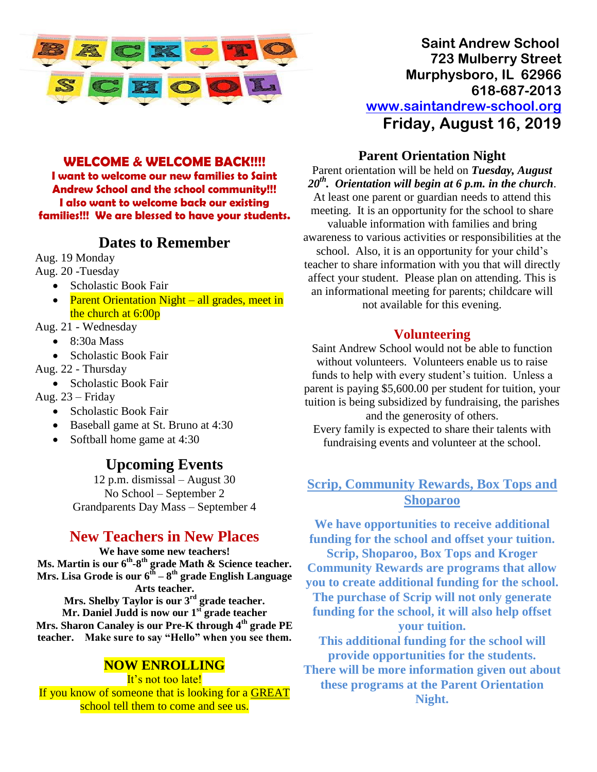

#### **WELCOME & WELCOME BACK!!!!**

**I want to welcome our new families to Saint Andrew School and the school community!!! I also want to welcome back our existing families!!! We are blessed to have your students.**

#### **Dates to Remember**

Aug. 19 Monday

- Aug. 20 -Tuesday
	- Scholastic Book Fair
	- Parent Orientation Night all grades, meet in the church at 6:00p

Aug. 21 - Wednesday

- $\bullet$  8:30a Mass
- Scholastic Book Fair
- Aug. 22 Thursday
	- Scholastic Book Fair

Aug. 23 – Friday

- Scholastic Book Fair
- Baseball game at St. Bruno at 4:30
- Softball home game at 4:30

## **Upcoming Events**

12 p.m. dismissal – August 30 No School – September 2 Grandparents Day Mass – September 4

## **New Teachers in New Places**

**We have some new teachers! Ms. Martin is our 6th -8 th grade Math & Science teacher. Mrs. Lisa Grode is our 6th – 8 th grade English Language Arts teacher. Mrs. Shelby Taylor is our 3 rd grade teacher. Mr. Daniel Judd is now our 1 st grade teacher**

**Mrs. Sharon Canaley is our Pre-K through 4th grade PE teacher. Make sure to say "Hello" when you see them.**

#### **NOW ENROLLING**

It's not too late! If you know of someone that is looking for a GREAT school tell them to come and see us.

**Saint Andrew School 723 Mulberry Street Murphysboro, IL 62966 618-687-2013 [www.saintandrew-school.org](http://www.saintandrew-school.org/) Friday, August 16, 2019**

#### **Parent Orientation Night**

Parent orientation will be held on *Tuesday, August 20 th. Orientation will begin at 6 p.m. in the church*. At least one parent or guardian needs to attend this meeting. It is an opportunity for the school to share valuable information with families and bring awareness to various activities or responsibilities at the school. Also, it is an opportunity for your child's teacher to share information with you that will directly affect your student. Please plan on attending. This is an informational meeting for parents; childcare will not available for this evening.

#### **Volunteering**

Saint Andrew School would not be able to function without volunteers. Volunteers enable us to raise funds to help with every student's tuition. Unless a parent is paying \$5,600.00 per student for tuition, your tuition is being subsidized by fundraising, the parishes and the generosity of others. Every family is expected to share their talents with fundraising events and volunteer at the school.

#### **Scrip, Community Rewards, Box Tops and Shoparoo**

**We have opportunities to receive additional funding for the school and offset your tuition. Scrip, Shoparoo, Box Tops and Kroger Community Rewards are programs that allow you to create additional funding for the school. The purchase of Scrip will not only generate funding for the school, it will also help offset your tuition. This additional funding for the school will provide opportunities for the students. There will be more information given out about these programs at the Parent Orientation** 

**Night.**